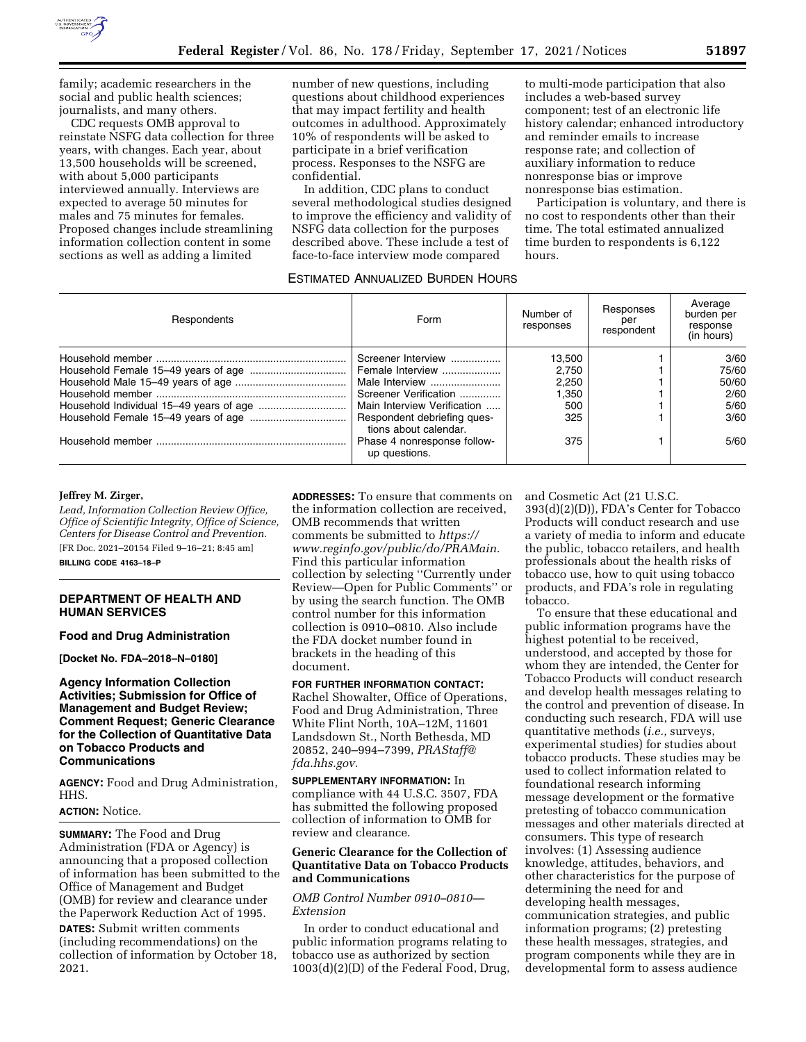

family; academic researchers in the social and public health sciences; journalists, and many others.

CDC requests OMB approval to reinstate NSFG data collection for three years, with changes. Each year, about 13,500 households will be screened, with about 5,000 participants interviewed annually. Interviews are expected to average 50 minutes for males and 75 minutes for females. Proposed changes include streamlining information collection content in some sections as well as adding a limited

number of new questions, including questions about childhood experiences that may impact fertility and health outcomes in adulthood. Approximately 10% of respondents will be asked to participate in a brief verification process. Responses to the NSFG are confidential.

In addition, CDC plans to conduct several methodological studies designed to improve the efficiency and validity of NSFG data collection for the purposes described above. These include a test of face-to-face interview mode compared

to multi-mode participation that also includes a web-based survey component; test of an electronic life history calendar; enhanced introductory and reminder emails to increase response rate; and collection of auxiliary information to reduce nonresponse bias or improve nonresponse bias estimation.

Participation is voluntary, and there is no cost to respondents other than their time. The total estimated annualized time burden to respondents is 6,122 hours.

### ESTIMATED ANNUALIZED BURDEN HOURS

| Respondents | Form                                                 | Number of<br>responses | Responses<br>per<br>respondent | Average<br>burden per<br>response<br>(in hours) |
|-------------|------------------------------------------------------|------------------------|--------------------------------|-------------------------------------------------|
|             | Screener Interview                                   | 13,500                 |                                | 3/60                                            |
|             | Female Interview                                     | 2.750                  |                                | 75/60                                           |
|             | Male Interview                                       | 2.250                  |                                | 50/60                                           |
|             | Screener Verification                                | I.350                  |                                | 2/60                                            |
|             | Main Interview Verification                          | 500                    |                                | 5/60                                            |
|             | Respondent debriefing ques-<br>tions about calendar. | 325                    |                                | 3/60                                            |
|             | Phase 4 nonresponse follow-<br>up questions.         | 375                    |                                | 5/60                                            |

#### **Jeffrey M. Zirger,**

*Lead, Information Collection Review Office, Office of Scientific Integrity, Office of Science, Centers for Disease Control and Prevention.*  [FR Doc. 2021–20154 Filed 9–16–21; 8:45 am]

**BILLING CODE 4163–18–P** 

# **DEPARTMENT OF HEALTH AND HUMAN SERVICES**

### **Food and Drug Administration**

**[Docket No. FDA–2018–N–0180]** 

## **Agency Information Collection Activities; Submission for Office of Management and Budget Review; Comment Request; Generic Clearance for the Collection of Quantitative Data on Tobacco Products and Communications**

**AGENCY:** Food and Drug Administration, HHS.

### **ACTION:** Notice.

**SUMMARY:** The Food and Drug Administration (FDA or Agency) is announcing that a proposed collection of information has been submitted to the Office of Management and Budget (OMB) for review and clearance under the Paperwork Reduction Act of 1995.

**DATES:** Submit written comments (including recommendations) on the collection of information by October 18, 2021.

**ADDRESSES:** To ensure that comments on the information collection are received, OMB recommends that written comments be submitted to *[https://](https://www.reginfo.gov/public/do/PRAMain) [www.reginfo.gov/public/do/PRAMain.](https://www.reginfo.gov/public/do/PRAMain)*  Find this particular information collection by selecting ''Currently under Review—Open for Public Comments'' or by using the search function. The OMB control number for this information collection is 0910–0810. Also include the FDA docket number found in brackets in the heading of this document.

### **FOR FURTHER INFORMATION CONTACT:**

Rachel Showalter, Office of Operations, Food and Drug Administration, Three White Flint North, 10A–12M, 11601 Landsdown St., North Bethesda, MD 20852, 240–994–7399, *[PRAStaff@](mailto:PRAStaff@fda.hhs.gov) [fda.hhs.gov.](mailto:PRAStaff@fda.hhs.gov)* 

**SUPPLEMENTARY INFORMATION:** In compliance with 44 U.S.C. 3507, FDA has submitted the following proposed collection of information to OMB for review and clearance.

## **Generic Clearance for the Collection of Quantitative Data on Tobacco Products and Communications**

## *OMB Control Number 0910–0810— Extension*

In order to conduct educational and public information programs relating to tobacco use as authorized by section 1003(d)(2)(D) of the Federal Food, Drug, and Cosmetic Act (21 U.S.C.

393(d)(2)(D)), FDA's Center for Tobacco Products will conduct research and use a variety of media to inform and educate the public, tobacco retailers, and health professionals about the health risks of tobacco use, how to quit using tobacco products, and FDA's role in regulating tobacco.

To ensure that these educational and public information programs have the highest potential to be received, understood, and accepted by those for whom they are intended, the Center for Tobacco Products will conduct research and develop health messages relating to the control and prevention of disease. In conducting such research, FDA will use quantitative methods (*i.e.,* surveys, experimental studies) for studies about tobacco products. These studies may be used to collect information related to foundational research informing message development or the formative pretesting of tobacco communication messages and other materials directed at consumers. This type of research involves: (1) Assessing audience knowledge, attitudes, behaviors, and other characteristics for the purpose of determining the need for and developing health messages, communication strategies, and public information programs; (2) pretesting these health messages, strategies, and program components while they are in developmental form to assess audience